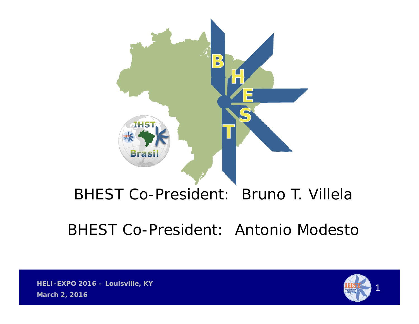

### BHEST Co-President: Bruno T. Villela

### BHEST Co-President: Antonio Modesto

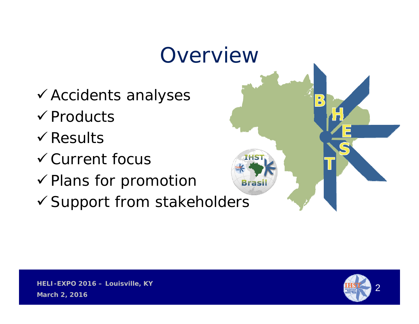# Overview Accidents analyses  $\checkmark$  Products  $\checkmark$  Results

- Current focus
- $\checkmark$  Plans for promotion
- Support from stakeholders



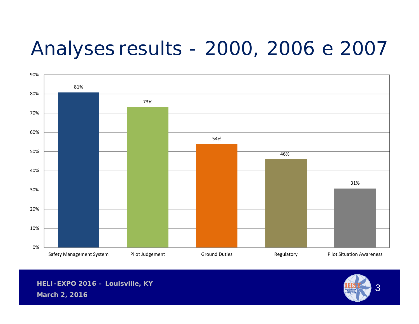## Analyses results - 2000, 2006 e 2007



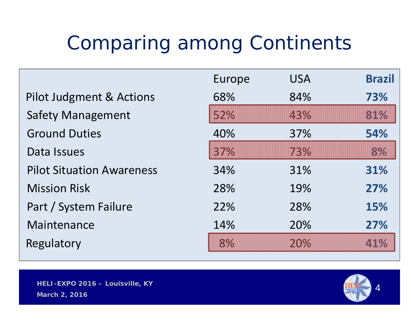# Comparing among Continents

|                                     | Europe | <b>USA</b> | <b>Brazil</b> |
|-------------------------------------|--------|------------|---------------|
| <b>Pilot Judgment &amp; Actions</b> | 68%    | 84%        | 73%           |
| <b>Safety Management</b>            | 52%    | 43%        | 81%           |
| <b>Ground Duties</b>                | 40%    | 37%        | 54%           |
| Data Issues                         | 37%    | 73%        | 8%            |
| <b>Pilot Situation Awareness</b>    | 34%    | 31%        | 31%           |
| <b>Mission Risk</b>                 | 28%    | 19%        | 27%           |
| Part / System Failure               | 22%    | 28%        | 15%           |
| Maintenance                         | 14%    | 20%        | 27%           |
| Regulatory                          | 8%     | 20%        | 41%           |



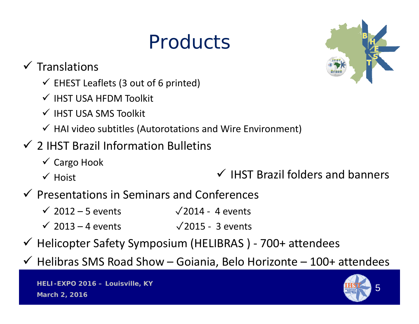# **Products**



 $\checkmark$  Translations

- $\checkmark$  EHEST Leaflets (3 out of 6 printed)
- $\checkmark$  IHST USA HFDM Toolkit
- $\checkmark$  IHST USA SMS Toolkit
- $\checkmark$  HAI video subtitles (Autorotations and Wire Environment)

### $\checkmark$  2 IHST Brazil Information Bulletins

- Cargo Hook
- $\checkmark$  Hoist
- $\checkmark$  IHST Brazil folders and banners
- $\checkmark$  Presentations in Seminars and Conferences
	- $\checkmark$  2012 5 events  $\checkmark$  2014 4 events
	- $\checkmark$  2013 4 events  $\checkmark$  2015 3 events
- Helicopter Safety Symposium (HELIBRAS ) ‐ 700+ attendees
- $\checkmark$  Helibras SMS Road Show Goiania, Belo Horizonte 100+ attendees

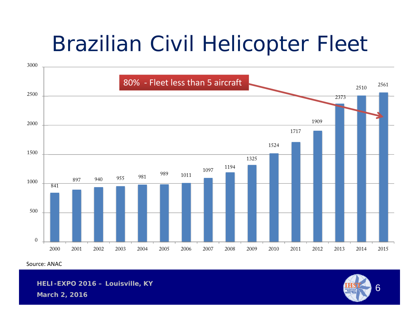# Brazilian Civil Helicopter Fleet



Source: ANAC

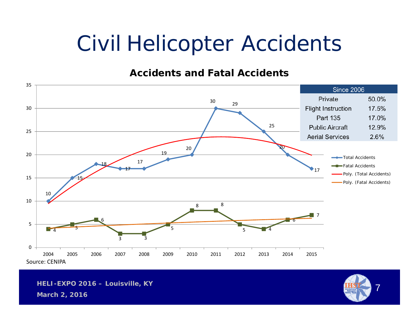# Civil Helicopter Accidents

#### **Accidents and Fatal Accidents**



**HELI-EXPO 2016 – Louisville, KY**

**March 2, 2016**

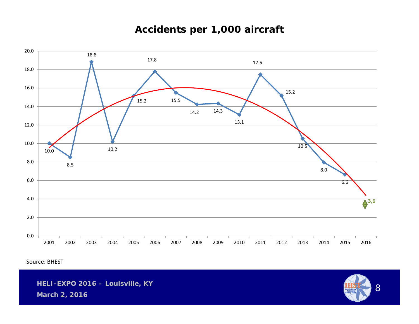#### **Accidents per 1,000 aircraft**



Source: BHEST

**HELI-EXPO 2016 – Louisville, KY**



**March 2, 2016**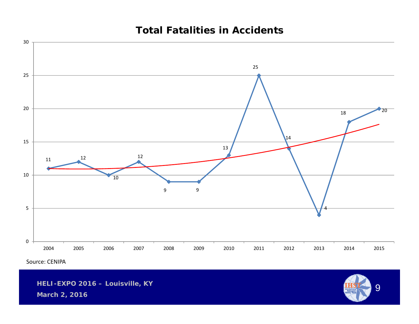#### **Total Fatalities in Accidents**



Source: CENIPA

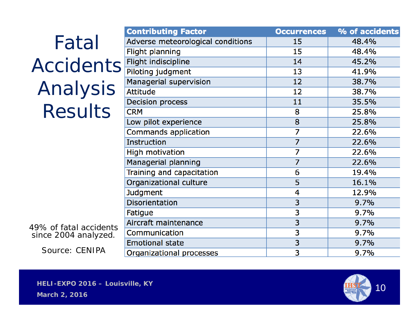|                                                | <b>Contributing Factor</b>        | <b>Occurrences</b> | % of accidents |
|------------------------------------------------|-----------------------------------|--------------------|----------------|
| Fatal                                          | Adverse meteorological conditions | 15                 | 48.4%          |
|                                                | Flight planning                   | 15                 | 48.4%          |
| <b>Accidents</b>                               | Flight indiscipline               | 14                 | 45.2%          |
|                                                | Piloting judgment                 | 13                 | 41.9%          |
|                                                | Managerial supervision            | 12                 | 38.7%          |
| Analysis                                       | <b>Attitude</b>                   | 12                 | 38.7%          |
|                                                | <b>Decision process</b>           | 11                 | 35.5%          |
| <b>Results</b>                                 | <b>CRM</b>                        | 8                  | 25.8%          |
|                                                | Low pilot experience              | 8                  | 25.8%          |
|                                                | Commands application              | 7                  | 22.6%          |
|                                                | <b>Instruction</b>                | 7                  | 22.6%          |
|                                                | <b>High motivation</b>            | 7                  | 22.6%          |
|                                                | Managerial planning               | 7                  | 22.6%          |
|                                                | Training and capacitation         | 6                  | 19.4%          |
|                                                | Organizational culture            | 5                  | 16.1%          |
|                                                | <b>Judgment</b>                   | 4                  | 12.9%          |
|                                                | <b>Disorientation</b>             | 3                  | 9.7%           |
|                                                | Fatigue                           | 3                  | 9.7%           |
|                                                | Aircraft maintenance              | 3                  | 9.7%           |
| 49% of fatal accidents<br>since 2004 analyzed. | Communication                     | 3                  | 9.7%           |
|                                                | <b>Emotional state</b>            | 3                  | 9.7%           |

Organizational processes

Source: CENIPA



 $9.7%$ 

 $\overline{3}$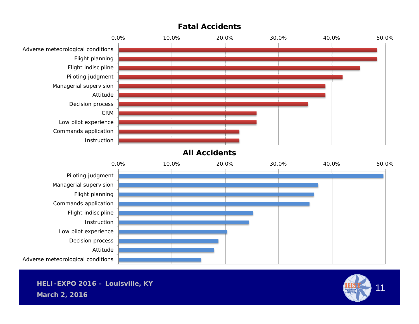

#### **Fatal Accidents**

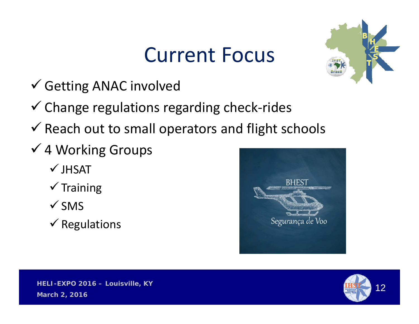# Current Focus



- Getting ANAC involved
- Change regulations regarding check‐rides
- $\checkmark$  Reach out to small operators and flight schools
- 4 Working Groups
	- $\checkmark$  JHSAT
	- $\checkmark$  Training
	- $\checkmark$  SMS
	- $\checkmark$  Regulations



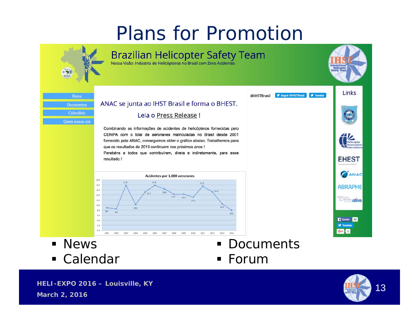### Plans for Promotion



Calendar

Forum

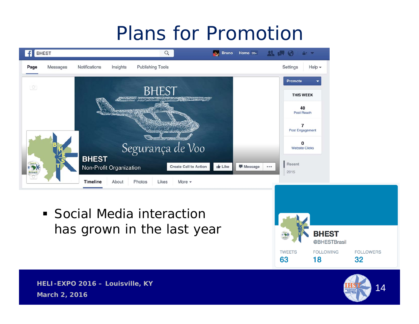## Plans for Promotion

| <b>BHEST</b><br>f |          |                         |                  | $\hbox{\tt Q}$                           | <b><i>I</i></b> <sub>s</sub> Bruno   |       | Home $20+$ $\qquad \qquad$ $\qquad \qquad$ $\qquad \qquad$ $\qquad \qquad$ $\qquad \qquad$ $\qquad \qquad$ $\qquad \qquad$ $\qquad \qquad$ $\qquad \qquad$ |
|-------------------|----------|-------------------------|------------------|------------------------------------------|--------------------------------------|-------|------------------------------------------------------------------------------------------------------------------------------------------------------------|
| Page              | Messages | Notifications           | Insights         | Publishing Tools                         |                                      |       | Settings<br>Help $\star$                                                                                                                                   |
| $\circ$           |          |                         |                  |                                          |                                      |       | Promote                                                                                                                                                    |
|                   |          |                         |                  | <b>BHEST</b>                             |                                      |       | <b>THIS WEEK</b>                                                                                                                                           |
|                   |          |                         | <b>SALLUS YR</b> |                                          |                                      |       | 40<br>Post Reach                                                                                                                                           |
|                   |          |                         |                  | <b>Matthewserver Chattain</b>            |                                      |       | $\overline{7}$<br>Post Engagement                                                                                                                          |
|                   |          |                         |                  | <b>SANDROOM THEN</b><br>Segurança de Voo |                                      |       | 0<br><b>Website Clicks</b>                                                                                                                                 |
| IHST,             |          | <b>BHEST</b>            |                  | <b>Create Call to Action</b>             | $\frac{1}{2}$ Like<br><b>Message</b> | 0.0.0 | Recent                                                                                                                                                     |
| <b>Brasil</b>     |          | Non-Profit Organization |                  |                                          |                                      |       | 2015                                                                                                                                                       |
|                   |          | Timeline                | About            | Photos<br>Likes<br>More $\sim$           |                                      |       |                                                                                                                                                            |

E Social Media interaction has grown in the last year

**March 2, 2016**





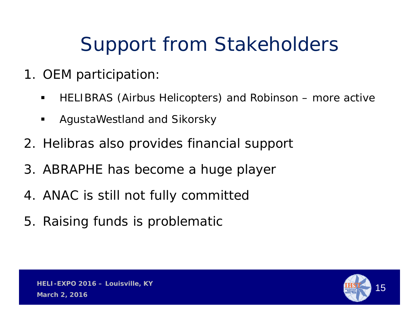# Support from Stakeholders

- 1. OEM participation:
	- $\blacksquare$ HELIBRAS (Airbus Helicopters) and Robinson – more active
	- $\blacksquare$ AgustaWestland and Sikorsky
- 2. Helibras also provides financial support
- 3. ABRAPHE has become a huge player
- 4. ANAC is still not fully committed
- 5. Raising funds is problematic